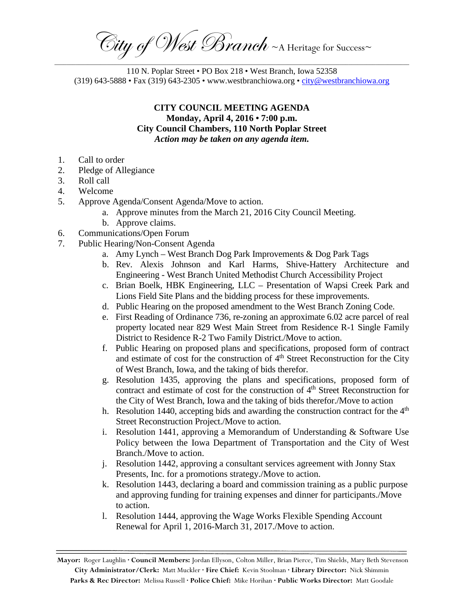City of West Branch ~ A Heritage for Success~ \_\_\_\_\_\_\_\_\_\_\_\_\_\_\_\_\_\_\_\_\_\_\_\_\_\_\_\_\_\_\_\_\_\_\_\_\_\_\_\_\_\_\_\_\_\_\_\_\_\_\_\_\_\_\_\_\_\_\_\_\_\_\_\_\_\_\_\_\_\_\_\_\_\_\_\_\_\_\_\_\_\_\_\_\_\_\_\_\_\_\_\_\_\_\_\_\_\_\_\_\_\_\_\_\_\_\_\_\_\_\_\_\_\_\_\_\_

110 N. Poplar Street • PO Box 218 • West Branch, Iowa 52358 (319) 643-5888 • Fax (319) 643-2305 • www.westbranchiowa.org •  $\text{city@westbranchiowa.org}$ 

## **CITY COUNCIL MEETING AGENDA Monday, April 4, 2016 • 7:00 p.m. City Council Chambers, 110 North Poplar Street** *Action may be taken on any agenda item.*

- 1. Call to order
- 2. Pledge of Allegiance
- 3. Roll call
- 4. Welcome
- 5. Approve Agenda/Consent Agenda/Move to action.
	- a. Approve minutes from the March 21, 2016 City Council Meeting.
	- b. Approve claims.
- 6. Communications/Open Forum
- 7. Public Hearing/Non-Consent Agenda
	- a. Amy Lynch West Branch Dog Park Improvements & Dog Park Tags
	- b. Rev. Alexis Johnson and Karl Harms, Shive-Hattery Architecture and Engineering - West Branch United Methodist Church Accessibility Project
	- c. Brian Boelk, HBK Engineering, LLC Presentation of Wapsi Creek Park and Lions Field Site Plans and the bidding process for these improvements.
	- d. Public Hearing on the proposed amendment to the West Branch Zoning Code.
	- e. First Reading of Ordinance 736, re-zoning an approximate 6.02 acre parcel of real property located near 829 West Main Street from Residence R-1 Single Family District to Residence R-2 Two Family District./Move to action.
	- f. Public Hearing on proposed plans and specifications, proposed form of contract and estimate of cost for the construction of  $4<sup>th</sup>$  Street Reconstruction for the City of West Branch, Iowa, and the taking of bids therefor.
	- g. Resolution 1435, approving the plans and specifications, proposed form of contract and estimate of cost for the construction of 4<sup>th</sup> Street Reconstruction for the City of West Branch, Iowa and the taking of bids therefor./Move to action
	- h. Resolution 1440, accepting bids and awarding the construction contract for the  $4<sup>th</sup>$ Street Reconstruction Project./Move to action.
	- i. Resolution 1441, approving a Memorandum of Understanding  $&$  Software Use Policy between the Iowa Department of Transportation and the City of West Branch./Move to action.
	- j. Resolution 1442, approving a consultant services agreement with Jonny Stax Presents, Inc. for a promotions strategy./Move to action.
	- k. Resolution 1443, declaring a board and commission training as a public purpose and approving funding for training expenses and dinner for participants./Move to action.
	- l. Resolution 1444, approving the Wage Works Flexible Spending Account Renewal for April 1, 2016-March 31, 2017./Move to action.

**Mayor:** Roger Laughlin **· Council Members:** Jordan Ellyson, Colton Miller, Brian Pierce, Tim Shields, Mary Beth Stevenson **City Administrator/Clerk:** Matt Muckler **· Fire Chief:** Kevin Stoolman **· Library Director:** Nick Shimmin **Parks & Rec Director:** Melissa Russell **· Police Chief:** Mike Horihan **· Public Works Director:** Matt Goodale